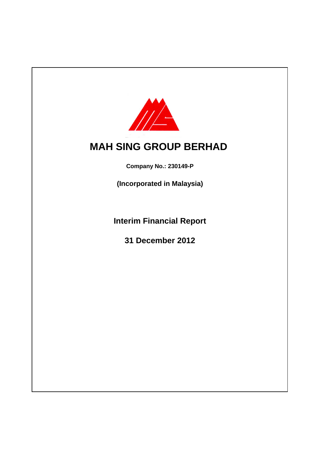

# **MAH SING GROUP BERHAD**

**Company No.: 230149-P**

**(Incorporated in Malaysia)**

**Interim Financial Report**

**31 December 2012**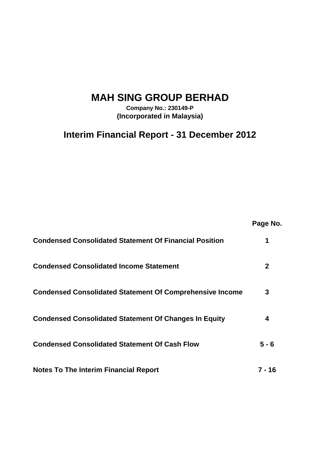# **MAH SING GROUP BERHAD**

**Company No.: 230149-P (Incorporated in Malaysia)**

**Interim Financial Report - 31 December 2012**

**Page No.**

| <b>Condensed Consolidated Statement Of Financial Position</b>   |         |
|-----------------------------------------------------------------|---------|
| <b>Condensed Consolidated Income Statement</b>                  |         |
| <b>Condensed Consolidated Statement Of Comprehensive Income</b> | 3       |
| <b>Condensed Consolidated Statement Of Changes In Equity</b>    |         |
| <b>Condensed Consolidated Statement Of Cash Flow</b>            | $5 - 6$ |
| <b>Notes To The Interim Financial Report</b>                    | 16      |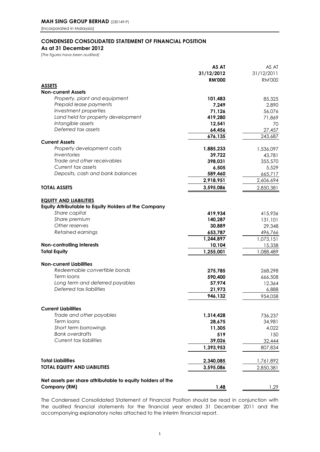## **CONDENSED CONSOLIDATED STATEMENT OF FINANCIAL POSITION**

**As at 31 December 2012**

*(The figures have been audited)*

|                                                             | AS AT         | AS AT         |
|-------------------------------------------------------------|---------------|---------------|
|                                                             | 31/12/2012    | 31/12/2011    |
|                                                             | <b>RM'000</b> | <b>RM'000</b> |
| <b>ASSETS</b>                                               |               |               |
| <b>Non-current Assets</b>                                   |               |               |
| Property, plant and equipment                               | 101,483       | 85,325        |
| Prepaid lease payments                                      | 7,249         | 2,890         |
| Investment properties                                       | 71,126        | 56,076        |
| Land held for property development                          | 419,280       | 71,869        |
| Intangible assets                                           | 12,541        | 70            |
| Deferred tax assets                                         | 64,456        | 27,457        |
|                                                             | 676,135       | 243,687       |
| <b>Current Assets</b><br>Property development costs         | 1,885,233     | 1,536,097     |
| Inventories                                                 | 39,722        | 43,781        |
| Trade and other receivables                                 | 398,031       | 355,570       |
| Current tax assets                                          | 6,505         | 5,529         |
| Deposits, cash and bank balances                            | 589,460       | 665,717       |
|                                                             | 2,918,951     | 2,606,694     |
| <b>TOTAL ASSETS</b>                                         |               | 2,850,381     |
|                                                             | 3,595,086     |               |
| <b>EQUITY AND LIABILITIES</b>                               |               |               |
| <b>Equity Attributable to Equity Holders of the Company</b> |               |               |
| Share capital                                               | 419,934       | 415,936       |
| Share premium                                               | 140,287       | 131,101       |
| Other reserves                                              | 30,889        | 29,348        |
| Retained earnings                                           | 653,787       | 496,766       |
|                                                             | 1,244,897     | 1,073,151     |
| Non-controlling interests                                   | 10,104        | 15,338        |
| <b>Total Equity</b>                                         | 1,255,001     | 1,088,489     |
| <b>Non-current Liabilities</b>                              |               |               |
| Redeemable convertible bonds                                | 275,785       | 268,298       |
| Term Ioans                                                  | 590,400       | 666,508       |
| Long term and deferred payables                             | 57,974        | 12,364        |
| Deferred tax liabilities                                    | 21,973        | 6,888         |
|                                                             | 946,132       | 954,058       |
|                                                             |               |               |
| <b>Current Liabilities</b>                                  |               |               |
| Trade and other payables                                    | 1,314,428     | 736,237       |
| Term loans                                                  | 28,675        | 34,981        |
| Short term borrowings                                       | 11,305        | 4,022         |
| <b>Bank overdrafts</b>                                      | 519           | 150           |
| Current tax liabilities                                     | 39,026        | 32,444        |
|                                                             | 1,393,953     | 807,834       |
| <b>Total Liabilities</b>                                    | 2,340,085     | 1,761,892     |
| <b>TOTAL EQUITY AND LIABILITIES</b>                         | 3,595,086     | 2,850,381     |
|                                                             |               |               |
| Net assets per share attributable to equity holders of the  |               |               |
| Company (RM)                                                | 1.48          | 1.29          |

The Condensed Consolidated Statement of Financial Position should be read in conjunction with the audited financial statements for the financial year ended 31 December 2011 and the accompanying explanatory notes attached to the interim financial report.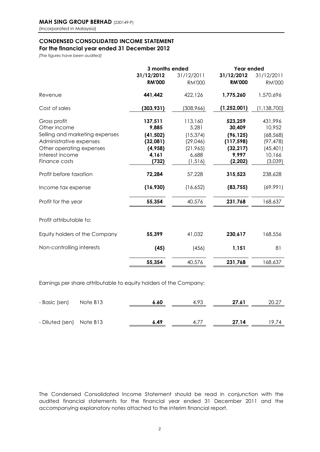# **CONDENSED CONSOLIDATED INCOME STATEMENT**

**For the financial year ended 31 December 2012**

*(The figures have been audited)*

| 31/12/2012<br><b>RM'000</b><br>441,442 | 31/12/2011<br><b>RM'000</b>                                 | 31/12/2012<br><b>RM'000</b> | 31/12/2011<br><b>RM'000</b> |
|----------------------------------------|-------------------------------------------------------------|-----------------------------|-----------------------------|
|                                        |                                                             |                             |                             |
|                                        |                                                             |                             |                             |
|                                        | 422,126                                                     | 1,775,260                   | 1,570,696                   |
|                                        | (308,966)                                                   | (1, 252, 001)               | (1, 138, 700)               |
|                                        | 113,160                                                     | 523,259                     | 431,996                     |
| 9,885                                  | 5,281                                                       | 30,409                      | 10,952                      |
|                                        | (15, 374)                                                   | (96, 125)                   | (68, 568)                   |
|                                        | (29,046)                                                    | (117, 598)                  | (97, 478)                   |
| (4,958)                                | (21, 965)                                                   | (32, 217)                   | (45, 401)                   |
| 4,161                                  | 6,688                                                       | 9,997                       | 10,166                      |
| (732)                                  | (1, 516)                                                    | (2, 202)                    | (3,039)                     |
| 72,284                                 | 57,228                                                      | 315,523                     | 238,628                     |
|                                        | (16,652)                                                    | (83, 755)                   | (69,991)                    |
| 55,354                                 | 40,576                                                      | 231,768                     | 168,637                     |
|                                        |                                                             |                             |                             |
| 55,399                                 | 41,032                                                      | 230,617                     | 168,556                     |
| (45)                                   | (456)                                                       | 1,151                       | 81                          |
| 55,354                                 | 40,576                                                      |                             | 168,637                     |
|                                        | (303, 931)<br>137,511<br>(41, 502)<br>(32,081)<br>(16, 930) |                             | 231,768                     |

Earnings per share attributable to equity holders of the Company:

| - Basic (sen)            | Note B13 | 6.60 | 4.93 | 27.61 | 20.27 |
|--------------------------|----------|------|------|-------|-------|
|                          |          |      |      |       |       |
| - Diluted (sen) Note B13 |          | 6.49 | 4.77 | 27.14 | 19.74 |

The Condensed Consolidated Income Statement should be read in conjunction with the audited financial statements for the financial year ended 31 December 2011 and the accompanying explanatory notes attached to the interim financial report.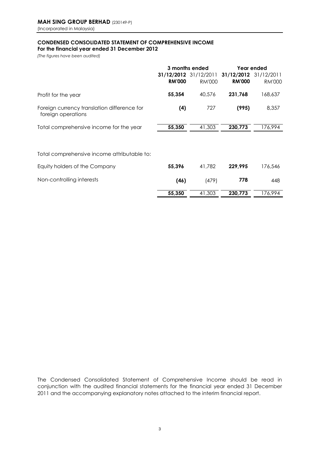# **CONDENSED CONSOLIDATED STATEMENT OF COMPREHENSIVE INCOME**

**For the financial year ended 31 December 2012**

*(The figures have been audited)*

|                                                                   |               | 3 months ended        |                           | Year ended |
|-------------------------------------------------------------------|---------------|-----------------------|---------------------------|------------|
|                                                                   |               | 31/12/2012 31/12/2011 | $31/12/2012$ $31/12/2011$ |            |
|                                                                   | <b>RM'000</b> | <b>RM'000</b>         | <b>RM'000</b>             | RM'000     |
| Profit for the year                                               | 55,354        | 40,576                | 231,768                   | 168,637    |
| Foreign currency translation difference for<br>foreign operations | (4)           | 727                   | (995)                     | 8,357      |
| Total comprehensive income for the year                           | 55,350        | 41,303                | 230,773                   | 176,994    |
|                                                                   |               |                       |                           |            |
| Total comprehensive income attributable to:                       |               |                       |                           |            |
| Equity holders of the Company                                     | 55,396        | 41,782                | 229,995                   | 176,546    |
| Non-controlling interests                                         | (46)          | (479)                 | 778                       | 448        |
|                                                                   | 55,350        | 41,303                | 230,773                   | 176,994    |

The Condensed Consolidated Statement of Comprehensive Income should be read in conjunction with the audited financial statements for the financial year ended 31 December 2011 and the accompanying explanatory notes attached to the interim financial report.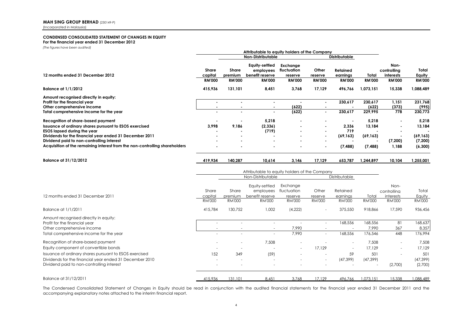### **CONDENSED CONSOLIDATED STATEMENT OF CHANGES IN EQUITY For the financial year ended 31 December 2012**

*(The figures have been audited)*

|                                                                                                                                                                                                                                               | Attributable to equity holders of the Company                                       |                                          |                                                                 |                                                     |                                            |                                              |                                     |                                                          |                                                |
|-----------------------------------------------------------------------------------------------------------------------------------------------------------------------------------------------------------------------------------------------|-------------------------------------------------------------------------------------|------------------------------------------|-----------------------------------------------------------------|-----------------------------------------------------|--------------------------------------------|----------------------------------------------|-------------------------------------|----------------------------------------------------------|------------------------------------------------|
|                                                                                                                                                                                                                                               |                                                                                     |                                          | <b>Non-Distributable</b>                                        |                                                     |                                            | <b>Distributable</b>                         |                                     |                                                          |                                                |
| 12 months ended 31 December 2012                                                                                                                                                                                                              | <b>Share</b><br>capital<br><b>RM'000</b>                                            | <b>Share</b><br>premium<br><b>RM'000</b> | Equity-settled<br>employees<br>benefit reserve<br><b>RM'000</b> | Exchange<br>fluctuation<br>reserve<br><b>RM'000</b> | Other<br>reserve<br><b>RM'000</b>          | <b>Retained</b><br>earninas<br><b>RM'000</b> | Total<br><b>RM'000</b>              | Non-<br>controlling<br><i>interests</i><br><b>RM'000</b> | Total<br>Equity<br><b>RM'000</b>               |
| <b>Balance at 1/1/2012</b>                                                                                                                                                                                                                    | 415,936                                                                             | 131,101                                  | 8.451                                                           | 3,768                                               | 17.129                                     | 496,766                                      | 1,073,151                           | 15,338                                                   | 1,088,489                                      |
| Amount recognised directly in equity:<br>Profit for the financial year<br>Other comprehensive income<br>Total comprehensive income for the year                                                                                               | $\blacksquare$<br>$\overline{\phantom{a}}$                                          | $\blacksquare$<br>÷.                     | $\sim$<br>$\blacksquare$<br>$\overline{a}$                      | (622)<br>(622)                                      | $\blacksquare$<br>$\blacksquare$<br>$\sim$ | 230,617<br>230,617                           | 230,617<br>(622)<br>229,995         | 1,151<br>(373)<br>778                                    | 231,768<br>(995)<br>230,773                    |
| Recognition of share-based payment<br>Issuance of ordinary shares pursuant to ESOS exercised<br><b>ESOS lapsed during the year</b>                                                                                                            | 3.998                                                                               | 9,186                                    | 5,218<br>(2, 336)<br>(719)                                      |                                                     |                                            | 2.336<br>719                                 | 5,218<br>13,184                     |                                                          | 5,218<br>13,184                                |
| Dividends for the financial year ended 31 December 2011<br>Dividend paid to non-controlling interest<br>Acquisition of the remaining interest from the non-controlling shareholders                                                           |                                                                                     |                                          |                                                                 |                                                     |                                            | (69, 163)<br>(7, 488)                        | (69, 163)<br>(7, 488)               | (7,200)<br>1,188                                         | (69, 163)<br>(7,200)<br>(6,300)                |
| <b>Balance at 31/12/2012</b>                                                                                                                                                                                                                  | 419.934                                                                             | 140,287                                  | 10,614                                                          | 3.146                                               | 17.129                                     | 653,787                                      | 1,244,897                           | 10,104                                                   | 1,255,001                                      |
|                                                                                                                                                                                                                                               | Attributable to equity holders of the Company<br>Non-Distributable<br>Distributable |                                          |                                                                 |                                                     |                                            |                                              |                                     |                                                          |                                                |
| 12 months ended 31 December 2011                                                                                                                                                                                                              | Share<br>capital                                                                    | Share<br>premium                         | Equity-settled<br>employees<br>benefit reserve                  | Exchange<br>fluctuation<br>reserve                  | Other<br>reserve                           | Retained<br>earninas                         | Total                               | Non-<br>controlling<br>interests                         | Total<br>Equity                                |
| Balance at 1/1/2011                                                                                                                                                                                                                           | <b>RM'000</b><br>415,784                                                            | <b>RM'000</b><br>130,752                 | <b>RM'000</b><br>1,002                                          | <b>RM'000</b><br>(4,222)                            | <b>RM'000</b>                              | <b>RM'000</b><br>375,550                     | <b>RM'000</b><br>918,866            | <b>RM'000</b><br>17,590                                  | <b>RM'000</b><br>936,456                       |
| Amount recognised directly in equity:<br>Profit for the financial year<br>Other comprehensive income<br>Total comprehensive income for the year                                                                                               |                                                                                     | L,<br>L,                                 | $\sim$<br>÷.                                                    | $\sim$<br>7,990<br>7,990                            | $\sim$<br>$\overline{\phantom{a}}$         | 168,556<br>168,556                           | 168,556<br>7,990<br>176,546         | 81<br>367<br>448                                         | 168,637<br>8,357<br>176,994                    |
| Recognition of share-based payment<br>Equity component of convertible bonds<br>Issuance of ordinary shares pursuant to ESOS exercised<br>Dividends for the financial year ended 31 December 2010<br>Dividend paid to non-controlling interest | 152                                                                                 | $\blacksquare$<br>349                    | 7,508<br>(59)                                                   |                                                     | 17,129<br>ä,                               | 59<br>(47, 399)                              | 7,508<br>17,129<br>501<br>(47, 399) | (2,700)                                                  | 7,508<br>17,129<br>501<br>(47, 399)<br>(2,700) |
| Balance at 31/12/2011                                                                                                                                                                                                                         | 415,936                                                                             | 131.101                                  | 8,451                                                           | 3,768                                               | 17,129                                     | 496,766                                      | 1,073,151                           | 15,338                                                   | 1,088,489                                      |

The Condensed Consolidated Statement of Changes in Equity should be read in conjunction with the audited financial statements for the financial year ended 31 December 2011 and the accompanying explanatory notes attached to the interim financial report.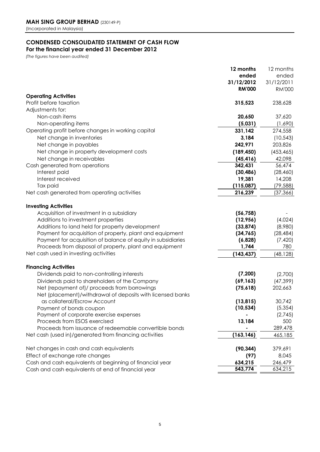## **CONDENSED CONSOLIDATED STATEMENT OF CASH FLOW**

**For the financial year ended 31 December 2012**

*(The figures have been audited)*

|                                                              | 12 months     | 12 months     |
|--------------------------------------------------------------|---------------|---------------|
|                                                              | ended         | ended         |
|                                                              | 31/12/2012    | 31/12/2011    |
|                                                              | <b>RM'000</b> | <b>RM'000</b> |
| <b>Operating Activities</b>                                  |               |               |
| Profit before taxation                                       | 315,523       | 238,628       |
| Adjustments for:                                             |               |               |
| Non-cash items                                               | 20,650        | 37,620        |
| Non-operating items                                          | (5,031)       | (1,690)       |
| Operating profit before changes in working capital           | 331,142       | 274,558       |
| Net change in inventories                                    | 3,184         | (10, 543)     |
| Net change in payables                                       | 242,971       | 203,826       |
| Net change in property development costs                     | (189, 450)    | (453, 465)    |
| Net change in receivables                                    | (45, 416)     | 42,098        |
| Cash generated from operations                               | 342,431       | 56,474        |
| Interest paid                                                | (30, 486)     | (28, 460)     |
| Interest received                                            | 19,381        | 14,208        |
| Tax paid                                                     | (115,087)     | (79, 588)     |
| Net cash generated from operating activities                 | 216,239       | (37,366)      |
|                                                              |               |               |
| <b>Investing Activities</b>                                  |               |               |
| Acquisition of investment in a subsidiary                    | (56, 758)     |               |
| Additions to investment properties                           | (12,956)      | (4.024)       |
| Additions to land held for property development              | (33, 874)     | (8,980)       |
| Payment for acquisition of property, plant and equipment     | (34,765)      | (28, 484)     |
| Payment for acquisition of balance of equity in subsidiaries | (6, 828)      | (7, 420)      |
| Proceeds from disposal of property, plant and equipment      | 1,744         | 780           |
| Net cash used in investing activities                        | (143, 437)    | (48, 128)     |
|                                                              |               |               |
| <b>Financing Activities</b>                                  |               |               |
| Dividends paid to non-controlling interests                  | (7,200)       | (2,700)       |
| Dividends paid to shareholders of the Company                | (69, 163)     | (47, 399)     |
| Net (repayment of)/ proceeds from borrowings                 | (75,618)      | 202,663       |
| Net (placement)/withdrawal of deposits with licensed banks   |               |               |
| as collateral/Escrow Account                                 | (13, 815)     | 30,742        |
| Payment of bonds coupon                                      | (10, 534)     | (5, 354)      |
| Payment of corporate exercise expenses                       |               | (2,745)       |
| Proceeds from ESOS exercised                                 | 13,184        | 500           |
| Proceeds from issuance of redeemable convertible bonds       |               | 289,478       |
| Net cash (used in)/generated from financing activities       | (163, 146)    | 465,185       |
|                                                              |               |               |
| Net changes in cash and cash equivalents                     | (90, 344)     | 379,691       |
| Effect of exchange rate changes                              | (97)          | 8,045         |
| Cash and cash equivalents at beginning of financial year     | 634,215       | 246,479       |
| Cash and cash equivalents at end of financial year           | 543,774       | 634,215       |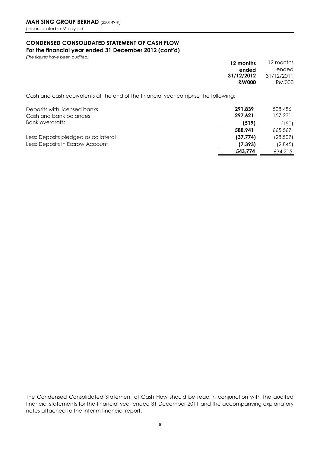## **CONDENSED CONSOLIDATED STATEMENT OF CASH FLOW**

### **For the financial year ended 31 December 2012 (cont'd)**

*(The figures have been audited)* 

| 12 months                                                                          | 12 months  |
|------------------------------------------------------------------------------------|------------|
| ended                                                                              | ended      |
| 31/12/2012                                                                         | 31/12/2011 |
| <b>RM'000</b>                                                                      | RM'000     |
| Cash and cash equivalents at the end of the financial year comprise the following: |            |

| Deposits with licensed banks         | 291.839   | 508,486   |
|--------------------------------------|-----------|-----------|
| Cash and bank balances               | 297.621   | 157,231   |
| <b>Bank overdrafts</b>               | (519)     | (150)     |
|                                      | 588.941   | 665,567   |
| Less: Deposits pledged as collateral | (37, 774) | (28, 507) |
| Less: Deposits in Escrow Account     | (7, 393)  | (2,845)   |
|                                      | 543.774   | 634,215   |

The Condensed Consolidated Statement of Cash Flow should be read in conjunction with the audited financial statements for the financial year ended 31 December 2011 and the accompanying explanatory notes attached to the interim financial report.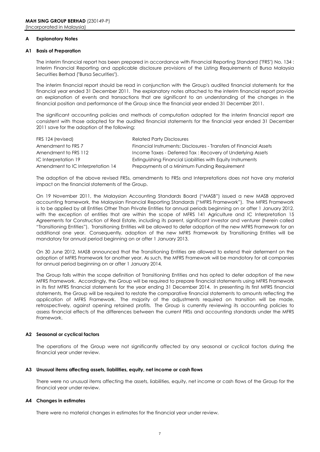### **A Explanatory Notes**

### **A1 Basis of Preparation**

The interim financial report has been prepared in accordance with Financial Reporting Standard ("FRS") No. 134 : Interim Financial Reporting and applicable disclosure provisions of the Listing Requirements of Bursa Malaysia Securities Berhad ("Bursa Securities").

The interim financial report should be read in conjunction with the Group's audited financial statements for the financial year ended 31 December 2011. The explanatory notes attached to the interim financial report provide an explanation of events and transactions that are significant to an understanding of the changes in the financial position and performance of the Group since the financial year ended 31 December 2011.

The significant accounting policies and methods of computation adopted for the interim financial report are consistent with those adopted for the audited financial statements for the financial year ended 31 December 2011 save for the adoption of the following:

| FRS 124 (revised)                 | <b>Related Party Disclosures</b>                                   |
|-----------------------------------|--------------------------------------------------------------------|
| Amendment to FRS 7                | Financial Instruments: Disclosures - Transfers of Financial Assets |
| Amendment to FRS 112              | Income Taxes - Deferred Tax: Recovery of Underlying Assets         |
| IC Interpretation 19              | Extinguishing Financial Liabilities with Equity Instruments        |
| Amendment to IC Interpretation 14 | Prepayments of a Minimum Funding Requirement                       |

The adoption of the above revised FRSs, amendments to FRSs and Interpretations does not have any material impact on the financial statements of the Group.

On 19 November 2011, the Malaysian Accounting Standards Board ("MASB") issued a new MASB approved accounting framework, the Malaysian Financial Reporting Standards ("MFRS Framework"). The MFRS Framework is to be applied by all Entities Other Than Private Entities for annual periods beginning on or after 1 January 2012, with the exception of entities that are within the scope of MFRS 141 Agriculture and IC Interpretation 15 Agreements for Construction of Real Estate, including its parent, significant investor and venturer (herein called "Transitioning Entities"). Transitioning Entities will be allowed to defer adoption of the new MFRS Framework for an additional one year. Consequently, adoption of the new MFRS Framework by Transitioning Entities will be mandatory for annual period beginning on or after 1 January 2013.

On 30 June 2012, MASB announced that the Transitioning Entities are allowed to extend their deferment on the adoption of MFRS Framework for another year. As such, the MFRS Framework will be mandotory for all companies for annual period beginning on or after 1 January 2014.

The Group falls within the scope definition of Transitioning Entities and has opted to defer adoption of the new MFRS Framework. Accordingly, the Group will be required to prepare financial statements using MFRS Framework in its first MFRS financial statements for the year ending 31 December 2014. In presenting its first MFRS financial statements, the Group will be required to restate the comparative financial statements to amounts reflecting the application of MFRS Framework. The majority of the adjustments required on transition will be made, retrospectively, against opening retained profits. The Group is currently reviewing its accounting policies to assess financial effects of the differences between the current FRSs and accounting standards under the MFRS Framework.

### **A2 Seasonal or cyclical factors**

The operations of the Group were not significantly affected by any seasonal or cyclical factors during the financial year under review.

### **A3 Unusual items affecting assets, liabilities, equity, net income or cash flows**

There were no unusual items affecting the assets, liabilities, equity, net income or cash flows of the Group for the financial year under review.

### **A4 Changes in estimates**

There were no material changes in estimates for the financial year under review.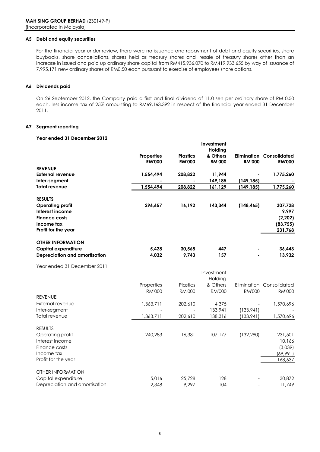### **A5 Debt and equity securities**

For the financial year under review, there were no issuance and repayment of debt and equity securities, share buybacks, share cancellations, shares held as treasury shares and resale of treasury shares other than an increase in issued and paid up ordinary share capital from RM415,936,070 to RM419,933,655 by way of issuance of 7,995,171 new ordinary shares of RM0.50 each pursuant to exercise of employees share options.

### **A6 Dividends paid**

On 26 September 2012, the Company paid a first and final dividend of 11.0 sen per ordinary share of RM 0.50 each, less income tax of 25% amounting to RM69,163,392 in respect of the financial year ended 31 December 2011.

### **A7 Segment reporting**

### **Year ended 31 December 2012**

|                                |                                    |                                  | Investment<br>Holding     |               |                                                  |
|--------------------------------|------------------------------------|----------------------------------|---------------------------|---------------|--------------------------------------------------|
|                                | <b>Properties</b><br><b>RM'000</b> | <b>Plastics</b><br><b>RM'000</b> | & Others<br><b>RM'000</b> | <b>RM'000</b> | <b>Elimination Consolidated</b><br><b>RM'000</b> |
| <b>REVENUE</b>                 |                                    |                                  |                           |               |                                                  |
| <b>External revenue</b>        | 1,554,494                          | 208,822                          | 11,944                    |               | 1,775,260                                        |
| Inter-segment                  |                                    |                                  | 149,185                   | (149, 185)    |                                                  |
| <b>Total revenue</b>           | 1,554,494                          | 208,822                          | 161,129                   | (149, 185)    | 1,775,260                                        |
| <b>RESULTS</b>                 |                                    |                                  |                           |               |                                                  |
| <b>Operating profit</b>        | 296,657                            | 16,192                           | 143,344                   | (148, 465)    | 307,728                                          |
| Interest income                |                                    |                                  |                           |               | 9,997                                            |
| <b>Finance costs</b>           |                                    |                                  |                           |               | (2, 202)                                         |
| Income tax                     |                                    |                                  |                           |               | (83, 755)                                        |
| Profit for the year            |                                    |                                  |                           |               | 231,768                                          |
| <b>OTHER INFORMATION</b>       |                                    |                                  |                           |               |                                                  |
| <b>Capital expenditure</b>     | 5,428                              | 30,568                           | 447                       |               | 36,443                                           |
| Depreciation and amortisation  | 4,032                              | 9,743                            | 157                       |               | 13,932                                           |
| Year ended 31 December 2011    |                                    |                                  |                           |               |                                                  |
|                                |                                    |                                  | Investment                |               |                                                  |
|                                |                                    |                                  | Holding                   |               |                                                  |
|                                | Properties                         | Plastics                         | & Others                  |               | Elimination Consolidated                         |
|                                | <b>RM'000</b>                      | <b>RM'000</b>                    | <b>RM'000</b>             | <b>RM'000</b> | <b>RM'000</b>                                    |
| <b>REVENUE</b>                 |                                    |                                  |                           |               |                                                  |
| External revenue               | 1,363,711                          | 202,610                          | 4,375                     |               | 1,570,696                                        |
| Inter-segment<br>Total revenue |                                    |                                  | 133,941                   | (133, 941)    |                                                  |
|                                | 1,363,711                          | 202,610                          | 138,316                   | (133, 941)    | 1,570,696                                        |
| <b>RESULTS</b>                 |                                    |                                  |                           |               |                                                  |
| Operating profit               | 240,283                            | 16,331                           | 107,177                   | (132, 290)    | 231,501                                          |
| Interest income                |                                    |                                  |                           |               | 10,166                                           |
| Finance costs                  |                                    |                                  |                           |               | (3,039)                                          |
| Income tax                     |                                    |                                  |                           |               | (69, 991)                                        |
| Profit for the year            |                                    |                                  |                           |               | 168,637                                          |
| <b>OTHER INFORMATION</b>       |                                    |                                  |                           |               |                                                  |
| Capital expenditure            | 5,016                              | 25,728                           | 128                       |               | 30,872                                           |
| Depreciation and amortisation  | 2.348                              | 9,297                            | 104                       |               | 11,749                                           |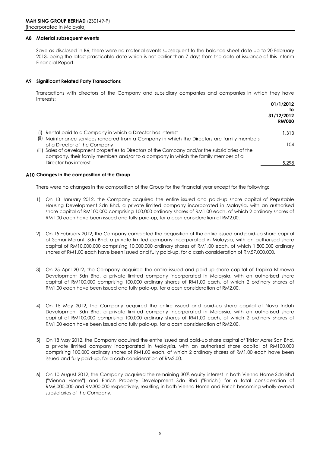### **A8 Material subsequent events**

Save as disclosed in B6, there were no material events subsequent to the balance sheet date up to 20 February 2013, being the latest practicable date which is not earlier than 7 days from the date of issuance of this Interim Financial Report.

### **A9 Significant Related Party Transactions**

Transactions with directors of the Company and subsidiary companies and companies in which they have interests:

|     |                                                                                                  | 01/1/2012<br>to<br>31/12/2012<br><b>RM'000</b> |
|-----|--------------------------------------------------------------------------------------------------|------------------------------------------------|
| (1) | Rental paid to a Company in which a Director has interest                                        | 1.313                                          |
|     | (ii) Maintenance services rendered from a Company in which the Directors are family members      |                                                |
|     | of a Director of the Company                                                                     | 104                                            |
|     | (iii) Sales of development properties to Directors of the Company and/or the subsidiaries of the |                                                |
|     | company, their family members and/or to a company in which the family member of a                |                                                |
|     | Director has interest                                                                            | 5.298                                          |
|     |                                                                                                  |                                                |

### **A10 Changes in the composition of the Group**

There were no changes in the composition of the Group for the financial year except for the following:

- 1) On 13 January 2012, the Company acquired the entire issued and paid-up share capital of Reputable Housing Development Sdn Bhd, a private limited company incorporated in Malaysia, with an authorised share capital of RM100,000 comprising 100,000 ordinary shares of RM1.00 each, of which 2 ordinary shares of RM1.00 each have been issued and fully paid-up, for a cash consideration of RM2.00.
- 2) On 15 February 2012, the Company completed the acquisition of the entire issued and paid-up share capital of Semai Meranti Sdn Bhd, a private limited company incorporated in Malaysia, with an authorised share capital of RM10,000,000 comprising 10,000,000 ordinary shares of RM1.00 each, of which 1,800,000 ordinary shares of RM1.00 each have been issued and fully paid-up, for a cash consideration of RM57,000,000.
- 3) On 25 April 2012, the Company acquired the entire issued and paid-up share capital of Tropika Istimewa Development Sdn Bhd, a private limited company incorporated in Malaysia, with an authorised share capital of RM100,000 comprising 100,000 ordinary shares of RM1.00 each, of which 2 ordinary shares of RM1.00 each have been issued and fully paid-up, for a cash consideration of RM2.00.
- 4) On 15 May 2012, the Company acquired the entire issued and paid-up share capital of Nova Indah Development Sdn Bhd, a private limited company incorporated in Malaysia, with an authorised share capital of RM100,000 comprising 100,000 ordinary shares of RM1.00 each, of which 2 ordinary shares of RM1.00 each have been issued and fully paid-up, for a cash consideration of RM2.00.
- 5) On 18 May 2012, the Company acquired the entire issued and paid-up share capital of Tristar Acres Sdn Bhd, a private limited company incorporated in Malaysia, with an authorised share capital of RM100,000 comprising 100,000 ordinary shares of RM1.00 each, of which 2 ordinary shares of RM1.00 each have been issued and fully paid-up, for a cash consideration of RM2.00.
- 6) On 10 August 2012, the Company acquired the remaining 30% equity interest in both Vienna Home Sdn Bhd ("Vienna Home") and Enrich Property Development Sdn Bhd ("Enrich") for a total consideration of RM6,000,000 and RM300,000 respectively, resulting in both Vienna Home and Enrich becoming wholly-owned subsidiaries of the Company.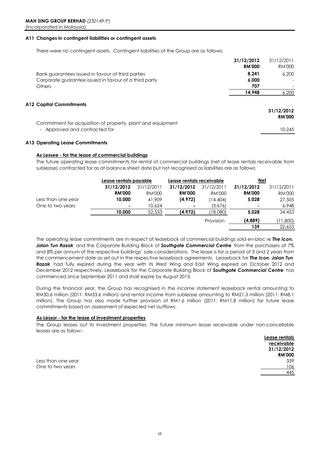### **A11 Changes in contingent liabilities or contingent assets**

There were no contingent assets. Contingent liabilities of the Group are as follows:

|                                                                                              | 31/12/2012<br><b>RM'000</b> | 31/12/2011<br><b>RM'000</b> |
|----------------------------------------------------------------------------------------------|-----------------------------|-----------------------------|
| Bank guarantees issued in favour of third parties                                            | 8.241                       | 6,200                       |
| Corporate guarantee issued in favour of a third party                                        | 6.000                       |                             |
| Others                                                                                       | 707                         |                             |
|                                                                                              | 14,948                      | 6,200                       |
| A12 Capital Commitments                                                                      |                             | 31/12/2012<br><b>RM'000</b> |
| Commitment for acquisition of property, plant and equipment<br>- Approved and contracted for |                             | 10,245                      |

### **A13 Operating Lease Commitments**

### **As Lessee - for the lease of commercial buildings**

The future operating lease commitments for rental of commercial buildings (net of lease rentals receivable from sublease) contracted for as at balance sheet date but not recognised as liabilities are as follows:

|                    | Lease rentals payable |               | Lease rentals receivable |               | <u>Net</u>    |               |
|--------------------|-----------------------|---------------|--------------------------|---------------|---------------|---------------|
|                    | 31/12/2012            | 31/12/2011    | 31/12/2012               | 31/12/2011    | 31/12/2012    | 31/12/2011    |
|                    | <b>RM'000</b>         | <b>RM'000</b> | <b>RM'000</b>            | <b>RM'000</b> | <b>RM'000</b> | <b>RM'000</b> |
| Less than one year | 10,000                | 41,909        | (4, 972)                 | (14, 404)     | 5,028         | 27,505        |
| One to two years   | ٠                     | 10,624        | ۰                        | (3,676)       | ٠             | 6,948         |
|                    | 10,000                | 52,533        | (4, 972)                 | (18,080)      | 5,028         | 34,453        |
|                    |                       |               |                          | Provision     | (4,889)       | (11,800)      |
|                    |                       |               |                          |               | 139           | 22,653        |

The operating lease commitments are in respect of leaseback of commercial buildings sold en-bloc ie *The Icon, Jalan Tun Razak* and the Corporate Building Block of *Southgate Commercial Centre* from the purchasers at 7% and 8% per annum of the respective buildings' sale considerations. The lease is for a period of 3 and 2 years from the commencement date as set out in the respective leaseback agreements. Leaseback for *The Icon, Jalan Tun Razak* had fully expired during the year with its West Wing and East Wing expired on October 2012 and December 2012 respectively. Leaseback for the Corporate Building Block of *Southgate Commercial Centre* has commenced since September 2011 and shall expire by August 2013.

During the financial year, the Group has recognised in the income statement leaseback rental amounting to RM30.6 million (2011: RM33.6 million) and rental income from sublease amounting to RM21.3 million (2011: RM8.1 million). The Group has also made further provision of RM1.6 million (2011: RM11.8 million) for future lease commitments based on assessment of expected net outflows.

### **As Lessor - for the lease of investment properties**

The Group leases out its investment properties. The future minimum lease receivable under non-cancellable leases are as follow:-

|                    | Lease rentals |
|--------------------|---------------|
|                    | receivable    |
|                    | 31/12/2012    |
|                    | <b>RM'000</b> |
| Less than one year | 339           |
| One to two years   | 106           |
|                    | 445           |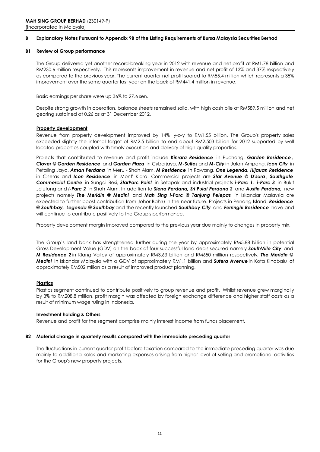#### **B Explanatory Notes Pursuant to Appendix 9B of the Listing Requirements of Bursa Malaysia Securities Berhad**

### **B1 Review of Group performance**

The Group delivered yet another record-breaking year in 2012 with revenue and net profit at RM1.78 billion and RM230.6 million respectively. This represents improvement in revenue and net profit of 13% and 37% respectively as compared to the previous year. The current quarter net profit soared to RM55.4 million which represents a 35% improvement over the same quarter last year on the back of RM441.4 million in revenue.

Basic earnings per share were up 36% to 27.6 sen.

Despite strong growth in operation, balance sheets remained solid, with high cash pile at RM589.5 million and net gearing sustained at 0.26 as at 31 December 2012.

### **Property development**

Revenue from property development improved by 14% y-o-y to RM1.55 billion. The Group's property sales exceeded slightly the internal target of RM2.5 billion to end about RM2.503 billion for 2012 supported by well located properties coupled with timely execution and delivery of high quality properties.

Projects that contributed to revenue and profit include *Kinrara Residence* in Puchong, *Garden Residence* , *Clover @ Garden Residence* and *Garden Plaza* in Cyberjaya, *M-Suites* and *M-City* in Jalan Ampang, *Icon City* in Petaling Jaya, *Aman Perdana* in Meru - Shah Alam, *M Residence* in Rawang, *One Legenda, Hijauan Residence* in Cheras and *Icon Residence* in Mont' Kiara. Commercial projects are *Star Avenue @ D'sara* , *Southgate Commercial Centre* in Sungai Besi, *StarParc Point* in Setapak and industrial projects *i-Parc 1, i-Parc 3* in Bukit Jelutong and *i-Parc 2* in Shah Alam. In addition to *Sierra Perdana, Sri Pulai Perdana 2* and *Austin Perdana,* new projects namely *The Meridin @ Medini* and *Mah Sing i-Parc @ Tanjung Pelepas* in Iskandar Malaysia are expected to further boost contribution from Johor Bahru in the near future. Projects in Penang Island, *Residence @ Southbay, Legenda @ Southbay* and the recently launched *Southbay City* and *Ferringhi Residence* have and will continue to contribute positively to the Group's performance.

Property development margin improved compared to the previous year due mainly to changes in property mix.

The Group's land bank has strengthened further during the year by approximately RM5.88 billion in potential Gross Development Value (GDV) on the back of four successful land deals secured namely *SouthVille City* and *M Residence 2* in Klang Valley of approximately RM3.63 billion and RM650 milllion respectively, *The Meridin @ Medini* in Iskandar Malaysia with a GDV of approximately RM1.1 billion and *Sutera Avenue* in Kota Kinabalu of approximately RM502 milion as a result of improved product planning.

### **Plastics**

Plastics segment continued to contribute positively to group revenue and profit. Whilst revenue grew marginally by 3% to RM208.8 million, profit margin was affected by foreign exchange difference and higher staff costs as a result of minimum wage ruling in Indonesia.

### **Investment holding & Others**

Revenue and profit for the segment comprise mainly interest income from funds placement.

### **B2 Material change in quarterly results compared with the immediate preceding quarter**

The fluctuations in current quarter profit before taxation compared to the immediate preceding quarter was due mainly to additional sales and marketing expenses arising from higher level of selling and promotional activities for the Group's new property projects.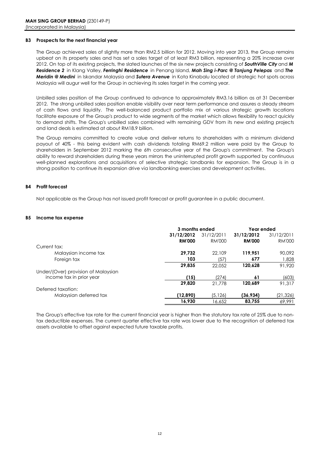### **B3 Prospects for the next financial year**

The Group achieved sales of slightly more than RM2.5 billion for 2012. Moving into year 2013, the Group remains upbeat on its property sales and has set a sales target of at least RM3 billion, representing a 20% increase over 2012. On top of its existing projects, the slated launches of the six new projects consisting of *SouthVille City* and *M Residence 2* in Klang Valley, *Ferringhi Residence* in Penang Island, *Mah Sing i-Parc @ Tanjung Pelepas* and *The Meridin @ Medini* in Iskandar Malaysia and *Sutera Avenue* in Kota Kinabalu located at strategic hot spots across Malaysia will augur well for the Group in achieving its sales target in the coming year.

Unbilled sales position of the Group continued to advance to approximately RM3.16 billion as at 31 December 2012. The strong unbilled sales position enable visibility over near term performance and assures a steady stream of cash flows and liquidity. The well-balanced product portfolio mix at various strategic growth locations facilitate exposure of the Group's product to wide segments of the market which allows flexibility to react quickly to demand shifts. The Group's unbilled sales combined with remaining GDV from its new and existing projects and land deals is estimated at about RM18.9 billion.

The Group remains committed to create value and deliver returns to shareholders with a minimum dividend payout of 40% - this being evident with cash dividends totaling RM69.2 million were paid by the Group to shareholders in September 2012 marking the 6th consecutive year of the Group's commitment. The Group's ability to reward shareholders during these years mirrors the uninterrupted profit growth supported by continuous well-planned explorations and acquisitions of selective strategic landbanks for expansion. The Group is in a strong position to continue its expansion drive via landbanking exercises and development activities.

### **B4 Profit forecast**

Not applicable as the Group has not issued profit forecast or profit guarantee in a public document.

### **B5 Income tax expense**

|                                     | 3 months ended |            | Year ended    |            |
|-------------------------------------|----------------|------------|---------------|------------|
|                                     | 31/12/2012     | 31/12/2011 | 31/12/2012    | 31/12/2011 |
|                                     | <b>RM'000</b>  | RM'000     | <b>RM'000</b> | RM'000     |
| Current tax:                        |                |            |               |            |
| Malaysian income tax                | 29,732         | 22.109     | 119,951       | 90.092     |
| Foreign tax                         | 103            | (57)       | 677           | 1,828      |
|                                     | 29,835         | 22.052     | 120,628       | 91,920     |
| Under/(Over) provision of Malaysian |                |            |               |            |
| income tax in prior year            | (15)           | (274)      | 61            | (603)      |
|                                     | 29.820         | 21.778     | 120,689       | 91,317     |
| Deferred taxation:                  |                |            |               |            |
| Malaysian deferred tax              | (12,890)       | (5, 126)   | (36, 934)     | (21,326)   |
|                                     | 16,930         | 16.652     | 83.755        | 69.991     |

The Group's effective tax rate for the current financial year is higher than the statutory tax rate of 25% due to nontax deductible expenses. The current quarter effective tax rate was lower due to the recognition of deferred tax assets available to offset against expected future taxable profits.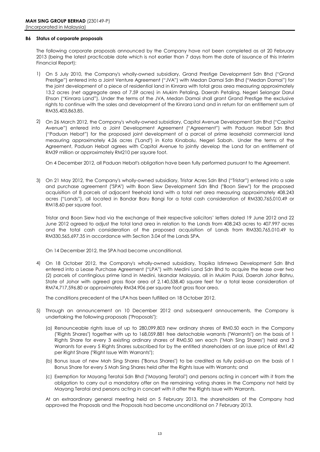### **B6 Status of corporate proposals**

The following corporate proposals announced by the Company have not been completed as at 20 February 2013 (being the latest practicable date which is not earlier than 7 days from the date of issuance of this Interim Financial Report):

- 1) On 5 July 2010, the Company's wholly-owned subsidiary, Grand Prestige Development Sdn Bhd ("Grand Prestige") entered into a Joint Venture Agreement ("JVA") with Medan Damai Sdn Bhd ("Medan Damai") for the joint development of a piece of residential land in Kinrara with total gross area measuring approximately 13.2 acres (net aggregate area of 7.59 acres) in Mukim Petaling, Daerah Petaling, Negeri Selangor Darul Ehsan ("Kinrara Land"). Under the terms of the JVA, Medan Damai shall grant Grand Prestige the exclusive rights to continue with the sales and development of the Kinrara Land and in return for an entitlement sum of RM35,403,863.85.
- 2) On 26 March 2012, the Company's wholly-owned subsidiary, Capitol Avenue Development Sdn Bhd ("Capitol Avenue") entered into a Joint Development Agreement ("Agreement") with Paduan Hebat Sdn Bhd ("Paduan Hebat") for the proposed joint development of a parcel of prime leasehold commercial land measuring approximately 4.26 acres ("Land") in Kota Kinabalu, Negeri Sabah. Under the terms of the Agreement, Paduan Hebat agrees with Capitol Avenue to jointly develop the Land for an entitlement of RM39 million or approximately RM210 per square foot.

On 4 December 2012, all Paduan Hebat's obligation have been fully performed pursuant to the Agreement.

3) On 21 May 2012, the Company's wholly-owned subsidiary, Tristar Acres Sdn Bhd ("Tristar") entered into a sale and purchase agreement ("SPA") with Boon Siew Development Sdn Bhd ("Boon Siew") for the proposed acquisition of 8 parcels of adjacent freehold land with a total net area measuring approximately 408.243 acres ("Lands"), all located in Bandar Baru Bangi for a total cash consideration of RM330,765,010.49 or RM18.60 per square foot.

Tristar and Boon Siew had via the exchange of their respective solicitors' letters dated 19 June 2012 and 22 June 2012 agreed to adjust the total land area in relation to the Lands from 408.243 acres to 407.997 acres and the total cash consideration of the proposed acquisition of Lands from RM330,765,010.49 to RM330,565,697.35 in accordance with Section 3.04 of the Lands SPA.

On 14 December 2012, the SPA had become unconditional.

4) On 18 October 2012, the Company's wholly-owned subsidiary, Tropika Istimewa Development Sdn Bhd entered into a Lease Purchase Agreement ("LPA") with Medini Land Sdn Bhd to acquire the lease over two (2) parcels of contingious prime land in Medini, Iskandar Malaysia, all in Mukim Pulai, Daerah Johor Bahru, State of Johor with agreed gross floor area of 2,140,538.40 square feet for a total lease consideration of RM74,717,596.80 or approximately RM34.906 per square foot gross floor area.

The conditions precedent of the LPA has been fulfilled on 18 October 2012.

- 5) Through an announcement on 10 December 2012 and subsequent annoucements, the Company is undertaking the following proposals ("Proposals"):
	- (a) Renounceable rights issue of up to 280,099,803 new ordinary shares of RM0.50 each in the Company ("Rights Shares") together with up to 168,059,881 free detachable warrants ("Warrants") on the basis of 1 Rights Share for every 3 existing ordinary shares of RM0.50 sen each ("Mah Sing Shares") held and 3 Warrants for every 5 Rights Shares subscribed for by the entitled shareholders at an issue price of RM1.42 per Right Share ("Right Issue With Warrants");
	- (b) Bonus issue of new Mah Sing Shares ("Bonus Shares") to be credited as fully paid-up on the basis of 1 Bonus Share for every 5 Mah Sing Shares held after the Rights Issue with Warrants; and
	- (c) Exemption for Mayang Teratai Sdn Bhd ("Mayang Teratai") and persons acting in concert with it from the obligation to carry out a mandatory offer on the remaining voting shares in the Company not held by Mayang Teratai and persons acting in concert with it after the Rights Issue with Warrants.

At an extraordinary general meeting held on 5 February 2013, the shareholders of the Company had approved the Proposals and the Proposals had become unconditional on 7 February 2013.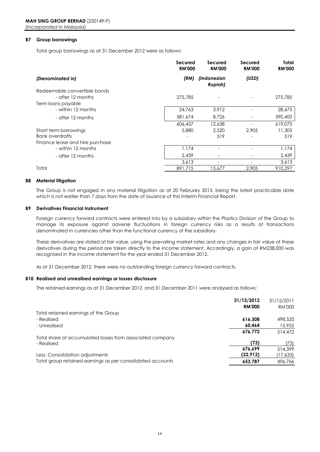### **B7 Group borrowings**

Total group borrowings as at 31 December 2012 were as follows:

|                                         | Secured<br><b>RM'000</b> | Secured<br><b>RM'000</b>      | Secured<br><b>RM'000</b> | Total<br><b>RM'000</b> |
|-----------------------------------------|--------------------------|-------------------------------|--------------------------|------------------------|
| (Denominated in)                        | (RM)                     | (Indonesian<br><b>Rupiah)</b> | (USD)                    |                        |
| Redeemable convertible bonds            |                          |                               |                          |                        |
| - after 12 months<br>Term loans payable | 275,785                  |                               |                          | 275,785                |
| - within 12 months                      | 24,763                   | 3,912                         |                          | 28,675                 |
| - after 12 months                       | 581,674                  | 8,726                         |                          | 590,400                |
|                                         | 606,437                  | 12,638                        |                          | 619.075                |
| Short term borrowings                   | 5,880                    | 2,520                         | 2,905                    | 11,305                 |
| <b>Bank overdrafts</b>                  |                          | 519                           |                          | 519                    |
| Finance lease and hire purchase         |                          |                               |                          |                        |
| - within 12 months                      | 1.174                    |                               |                          | 1,174                  |
| - after 12 months                       | 2,439                    |                               |                          | 2,439                  |
|                                         | 3.613                    |                               |                          | 3,613                  |
| Total                                   | 891,715                  | 15,677                        | 2,905                    | 910,297                |

### **B8 Material litigation**

The Group is not engaged in any material litigation as at 20 February 2013, being the latest practicable date which is not earlier than 7 days from the date of issuance of this Interim Financial Report.

### **B9 Derivatives Financial Instrument**

Foreign currency forward contracts were entered into by a subsidiary within the Plastics Division of the Group to manage its exposure against adverse fluctuations in foreign currency risks as a results of transactions denominated in currencies other than the functional currency of the subsidiary.

These derivatives are stated at fair value, using the prevailing market rates and any changes in fair value of these derivatives during the period are taken directly to the income statement. Accordingly, a gain of RM238,000 was recognised in the income statement for the year ended 31 December 2012.

As at 31 December 2012, there were no outstanding foreign currency forward contracts.

### **B10 Realised and unrealised earnings or losses disclosure**

The retained earnings as at 31 December 2012 and 31 December 2011 were analysed as follows:

|                                                            | 31/12/2012    | 31/12/2011    |
|------------------------------------------------------------|---------------|---------------|
|                                                            | <b>RM'000</b> | <b>RM'000</b> |
| Total retained earnings of the Group                       |               |               |
| - Realised                                                 | 616,308       | 498,520       |
| - Unrealised                                               | 60,464        | 15,952        |
|                                                            | 676.772       | 514,472       |
| Total share of accumulated losses from associated company  |               |               |
| - Realised                                                 | (73)          | (73)          |
|                                                            | 676,699       | 514,399       |
| Less: Consolidation adjustments                            | (22, 912)     | 17,633        |
| Total group retained earnings as per consolidated accounts | 653,787       | 496.766       |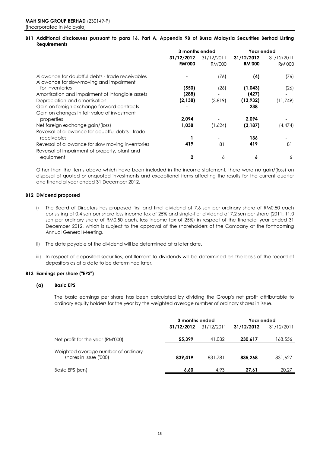### B11 Additional disclosures pursuant to para 16, Part A, Appendix 9B of Bursa Malaysia Securities Berhad Listing **Requirements**

|                                                                                              | 3 months ended |               | Year ended    |               |
|----------------------------------------------------------------------------------------------|----------------|---------------|---------------|---------------|
|                                                                                              | 31/12/2012     | 31/12/2011    | 31/12/2012    | 31/12/2011    |
|                                                                                              | <b>RM'000</b>  | <b>RM'000</b> | <b>RM'000</b> | <b>RM'000</b> |
| Allowance for doubtful debts - trade receivables<br>Allowance for slow-moving and impairment |                | (76)          | (4)           | (76)          |
| for inventories                                                                              | (550)          | (26)          | (1,043)       | (26)          |
| Amortisation and impairment of intangible assets                                             | (288)          |               | (427)         |               |
| Depreciation and amortisation                                                                | (2, 138)       | (3,819)       | (13, 932)     | (11,749)      |
| Gain on foreign exchange forward contracts                                                   |                |               | 238           |               |
| Gain on changes in fair value of investment                                                  |                |               |               |               |
| properties                                                                                   | 2,094          |               | 2,094         |               |
| Net foreign exchange gain/(loss)                                                             | 1,038          | (1,624)       | (3, 187)      | (4, 474)      |
| Reversal of allowance for doubtful debts - trade                                             |                |               |               |               |
| receivables                                                                                  |                |               | 136           |               |
| Reversal of allowance for slow moving inventories                                            | 419            | 81            | 419           | 81            |
| Reversal of impairment of property, plant and                                                |                |               |               |               |
| equipment                                                                                    | 2              | 6             | 6             | 6             |

Other than the items above which have been included in the income statement, there were no gain/(loss) on disposal of quoted or unquoted investments and exceptional items affecting the results for the current quarter and financial year ended 31 December 2012.

### **B12 Dividend proposed**

- i) The Board of Directors has proposed first and final dividend of 7.6 sen per ordinary share of RM0.50 each consisting of 0.4 sen per share less income tax of 25% and single-tier dividend of 7.2 sen per share (2011: 11.0 sen per ordinary share of RM0.50 each, less income tax of 25%) in respect of the financial year ended 31 December 2012, which is subject to the approval of the shareholders of the Company at the forthcoming Annual General Meeting.
- ii) The date payable of the dividend will be determined at a later date.
- iii) In respect of deposited securities, entitlement to dividends will be determined on the basis of the record of depositors as at a date to be determined later.

### **B13 Earnings per share ("EPS")**

### **(a) Basic EPS**

The basic earnings per share has been calculated by dividing the Group's net profit attributable to ordinary equity holders for the year by the weighted average number of ordinary shares in issue.

|                                                               | 3 months ended |            | Year ended |            |
|---------------------------------------------------------------|----------------|------------|------------|------------|
|                                                               | 31/12/2012     | 31/12/2011 | 31/12/2012 | 31/12/2011 |
| Net profit for the year (RM'000)                              | 55,399         | 41,032     | 230.617    | 168,556    |
| Weighted average number of ordinary<br>shares in issue ('000) | 839,419        | 831,781    | 835.268    | 831,627    |
| Basic EPS (sen)                                               | 6.60           | 4.93       | 27.61      | 20.27      |